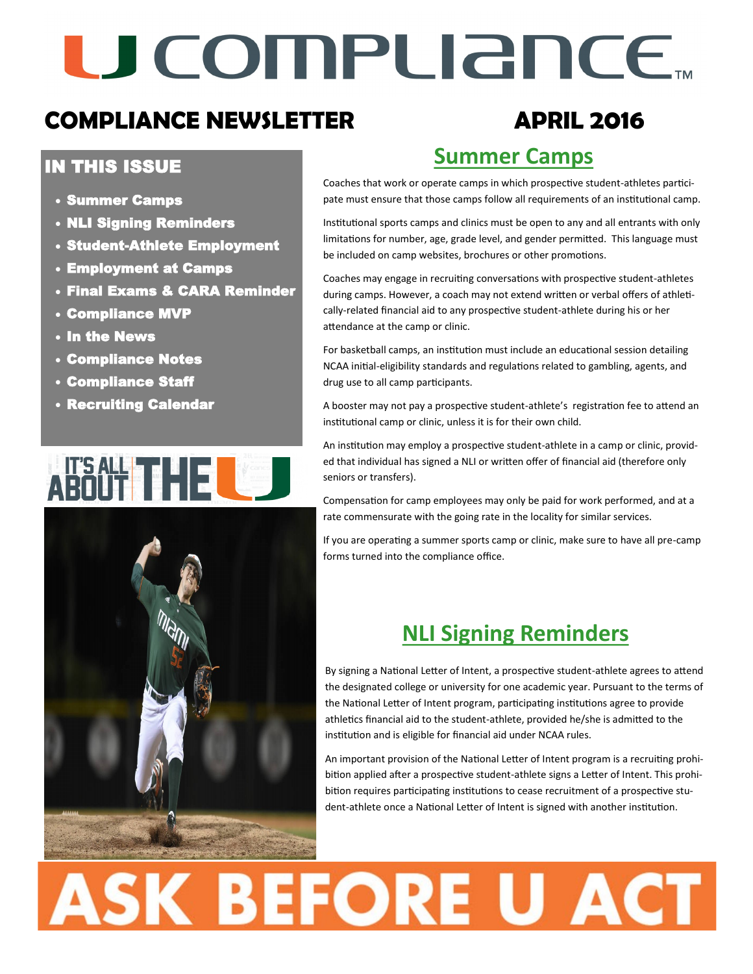# U COMPLIANCE.

### **COMPLIANCE NEWSLETTER APRIL 2016**

### IN THIS ISSUE

- Summer Camps
- NLI Signing Reminders
- Student-Athlete Employment
- Employment at Camps
- Final Exams & CARA Reminder
- Compliance MVP
- In the News
- Compliance Notes
- Compliance Staff
- Recruiting Calendar



## **Summer Camps**

Coaches that work or operate camps in which prospective student-athletes participate must ensure that those camps follow all requirements of an institutional camp.

Institutional sports camps and clinics must be open to any and all entrants with only limitations for number, age, grade level, and gender permitted. This language must be included on camp websites, brochures or other promotions.

Coaches may engage in recruiting conversations with prospective student-athletes during camps. However, a coach may not extend written or verbal offers of athletically-related financial aid to any prospective student-athlete during his or her attendance at the camp or clinic.

For basketball camps, an institution must include an educational session detailing NCAA initial-eligibility standards and regulations related to gambling, agents, and drug use to all camp participants.

A booster may not pay a prospective student-athlete's registration fee to attend an institutional camp or clinic, unless it is for their own child.

An institution may employ a prospective student-athlete in a camp or clinic, provided that individual has signed a NLI or written offer of financial aid (therefore only seniors or transfers).

Compensation for camp employees may only be paid for work performed, and at a rate commensurate with the going rate in the locality for similar services.

If you are operating a summer sports camp or clinic, make sure to have all pre-camp forms turned into the compliance office.

### **NLI Signing Reminders**

By signing a National Letter of Intent, a prospective student-athlete agrees to attend the designated college or university for one academic year. Pursuant to the terms of the National Letter of Intent program, participating institutions agree to provide athletics financial aid to the student-athlete, provided he/she is admitted to the institution and is eligible for financial aid under NCAA rules.

An important provision of the National Letter of Intent program is a recruiting prohibition applied after a prospective student-athlete signs a Letter of Intent. This prohibition requires participating institutions to cease recruitment of a prospective student-athlete once a National Letter of Intent is signed with another institution.

# **ASK BEFORE U ACT**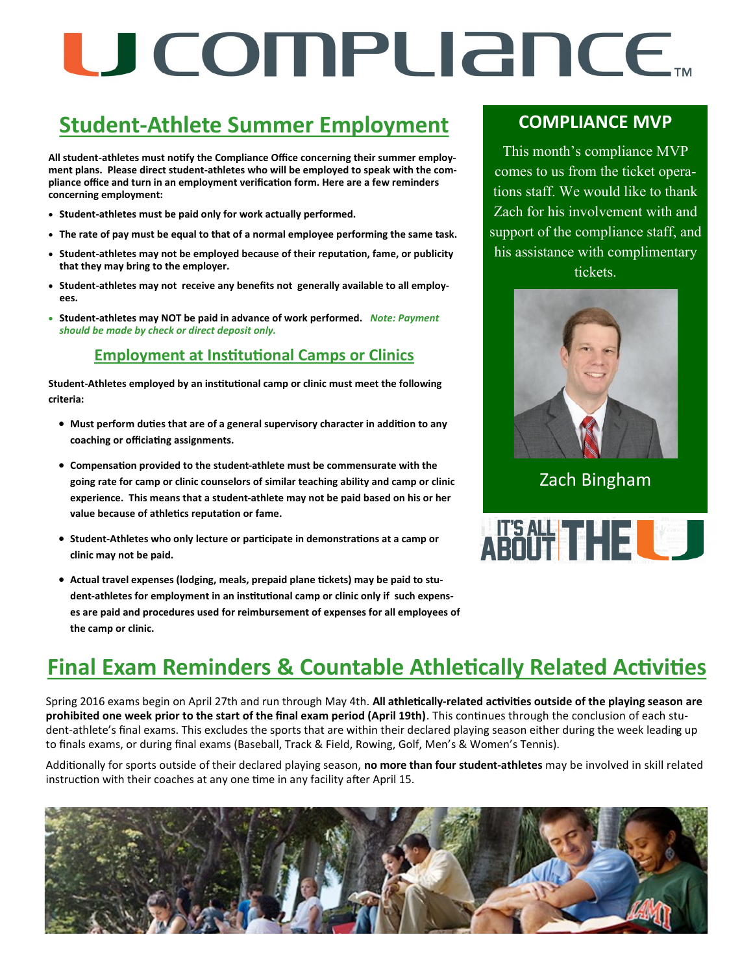# U COMPUANCE.

### **Student-Athlete Summer Employment**

**All student-athletes must notify the Compliance Office concerning their summer employment plans. Please direct student-athletes who will be employed to speak with the compliance office and turn in an employment verification form. Here are a few reminders concerning employment:**

- **Student-athletes must be paid only for work actually performed.**
- **The rate of pay must be equal to that of a normal employee performing the same task.**
- **Student-athletes may not be employed because of their reputation, fame, or publicity that they may bring to the employer.**
- **Student-athletes may not receive any benefits not generally available to all employees.**
- **Student-athletes may NOT be paid in advance of work performed.** *Note: Payment should be made by check or direct deposit only.*

#### **Employment at Institutional Camps or Clinics**

**Student-Athletes employed by an institutional camp or clinic must meet the following criteria:**

- **Must perform duties that are of a general supervisory character in addition to any coaching or officiating assignments.**
- **Compensation provided to the student-athlete must be commensurate with the going rate for camp or clinic counselors of similar teaching ability and camp or clinic experience. This means that a student-athlete may not be paid based on his or her value because of athletics reputation or fame.**
- **Student-Athletes who only lecture or participate in demonstrations at a camp or clinic may not be paid.**
- **Actual travel expenses (lodging, meals, prepaid plane tickets) may be paid to student-athletes for employment in an institutional camp or clinic only if such expenses are paid and procedures used for reimbursement of expenses for all employees of the camp or clinic.**

#### **COMPLIANCE MVP**

This month's compliance MVP comes to us from the ticket operations staff. We would like to thank Zach for his involvement with and support of the compliance staff, and his assistance with complimentary tickets.



Zach Bingham



### **Final Exam Reminders & Countable Athletically Related Activities**

Spring 2016 exams begin on April 27th and run through May 4th. **All athletically-related activities outside of the playing season are prohibited one week prior to the start of the final exam period (April 19th)**. This continues through the conclusion of each student-athlete's final exams. This excludes the sports that are within their declared playing season either during the week leading up to finals exams, or during final exams (Baseball, Track & Field, Rowing, Golf, Men's & Women's Tennis).

Additionally for sports outside of their declared playing season, **no more than four student-athletes** may be involved in skill related instruction with their coaches at any one time in any facility after April 15.

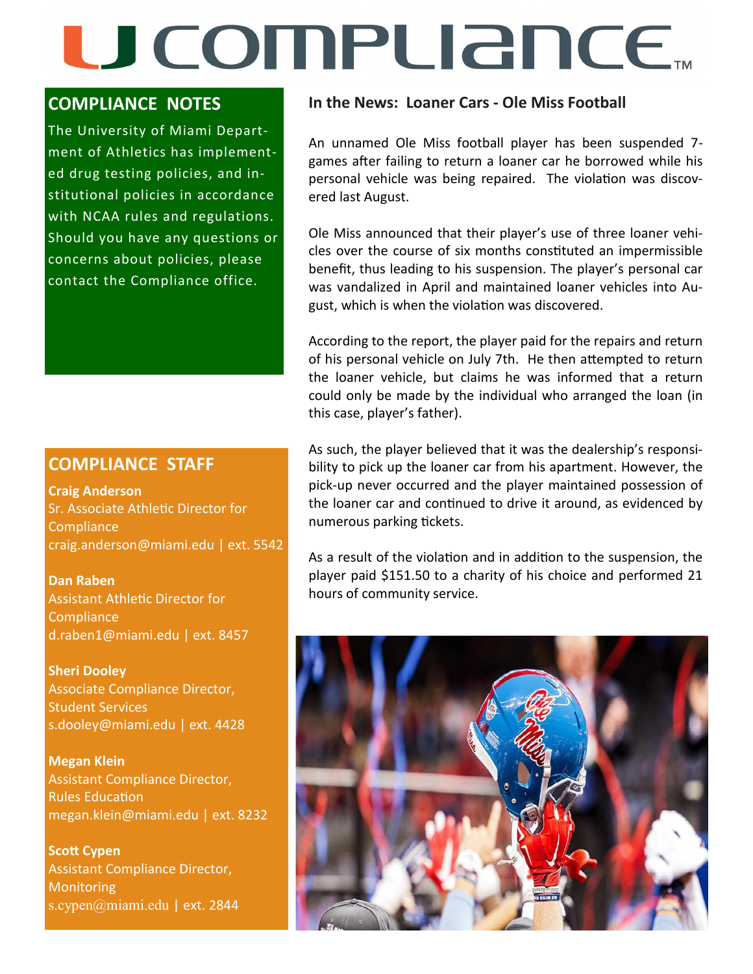# U COMPLIANCE.

#### **COMPLIANCE NOTES**

The University of Miami Department of Athletics has implemented drug testing policies, and institutional policies in accordance with NCAA rules and regulations. Should you have any questions or concerns about policies, please contact the Compliance office.

#### **COMPLIANCE STAFF**

**Craig Anderson**  Sr. Associate Athletic Director for **Compliance** craig.anderson@miami.edu | ext. 5542

**Dan Raben**  Assistant Athletic Director for **Compliance** d.raben1@miami.edu | ext. 8457

**Sheri Dooley** Associate Compliance Director, Student Services s.dooley@miami.edu | ext. 4428

**Megan Klein** Assistant Compliance Director, Rules Education megan.klein@miami.edu | ext. 8232

**Scott Cypen** Assistant Compliance Director, **Monitoring** s.cypen@miami.edu | ext. 2844

#### **In the News: Loaner Cars - Ole Miss Football**

An unnamed Ole Miss football player has been suspended 7 games after failing to return a loaner car he borrowed while his personal vehicle was being repaired. The violation was discovered last August.

Ole Miss announced that their player's use of three loaner vehicles over the course of six months constituted an impermissible benefit, thus leading to his suspension. The player's personal car was vandalized in April and maintained loaner vehicles into August, which is when the violation was discovered.

According to the report, the player paid for the repairs and return of his personal vehicle on July 7th. He then attempted to return the loaner vehicle, but claims he was informed that a return could only be made by the individual who arranged the loan (in this case, player's father).

As such, the player believed that it was the dealership's responsibility to pick up the loaner car from his apartment. However, the pick-up never occurred and the player maintained possession of the loaner car and continued to drive it around, as evidenced by numerous parking tickets.

As a result of the violation and in addition to the suspension, the player paid \$151.50 to a charity of his choice and performed 21 hours of community service.